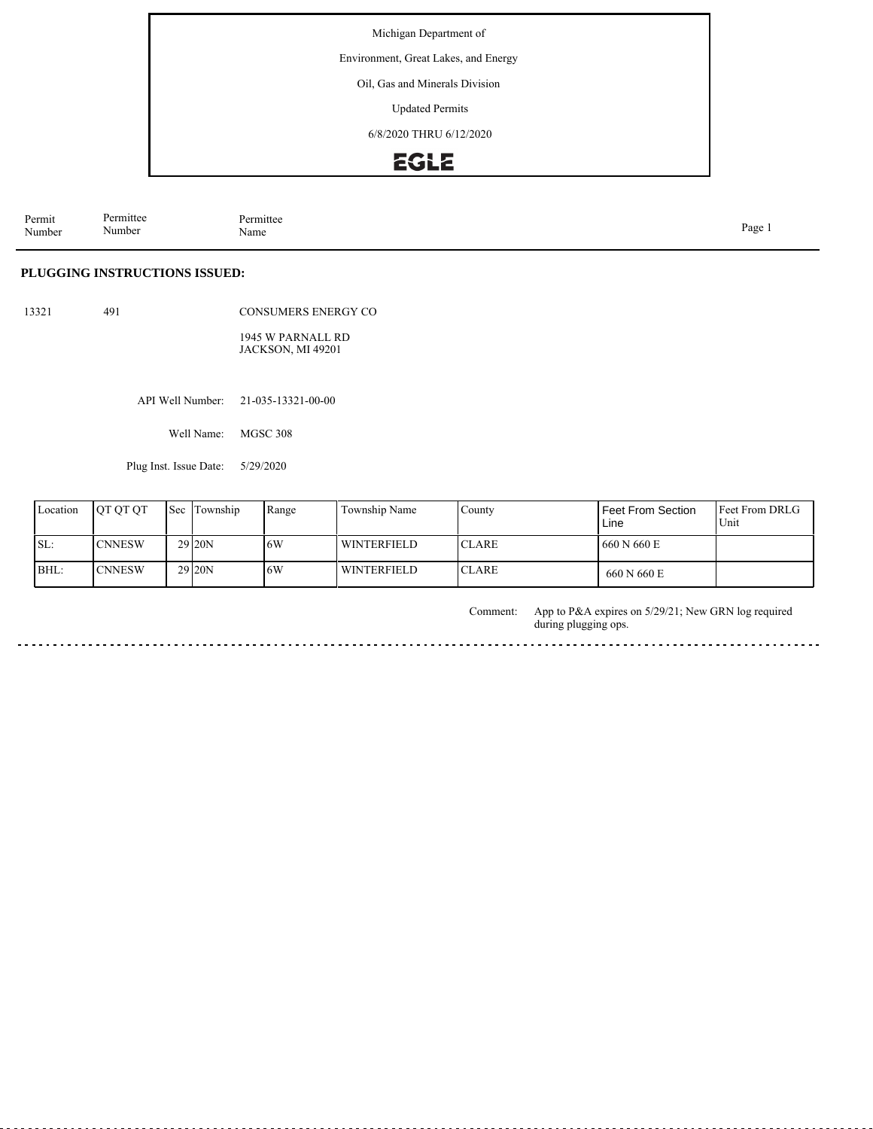Environment, Great Lakes, and Energy

Oil, Gas and Minerals Division

Updated Permits

6/8/2020 THRU 6/12/2020

# EGLE

Permit Number Permittee Number Permittee<br>Name Name Page 1

#### **PLUGGING INSTRUCTIONS ISSUED:**

13321 491

CONSUMERS ENERGY CO 1945 W PARNALL RD

JACKSON, MI 49201

API Well Number: 21-035-13321-00-00

Well Name: MGSC 308

Plug Inst. Issue Date: 5/29/2020

| Location | <b>IOT OT OT</b> | Sec Township        | Range | Township Name      | County        | Feet From Section<br>Line | <b>Feet From DRLG</b><br>Unit |
|----------|------------------|---------------------|-------|--------------------|---------------|---------------------------|-------------------------------|
| SL:      | <b>ICNNESW</b>   | 29 <sub>120</sub> N | 16W   | <b>WINTERFIELD</b> | <b>ICLARE</b> | 660 N 660 E               |                               |
| BHL:     | <b>ICNNESW</b>   | 29 <sub>120</sub> N | 16W   | <b>WINTERFIELD</b> | <b>ICLARE</b> | 660 N 660 E               |                               |

App to P&A expires on 5/29/21; New GRN log required during plugging ops. Comment:

 $\cdots$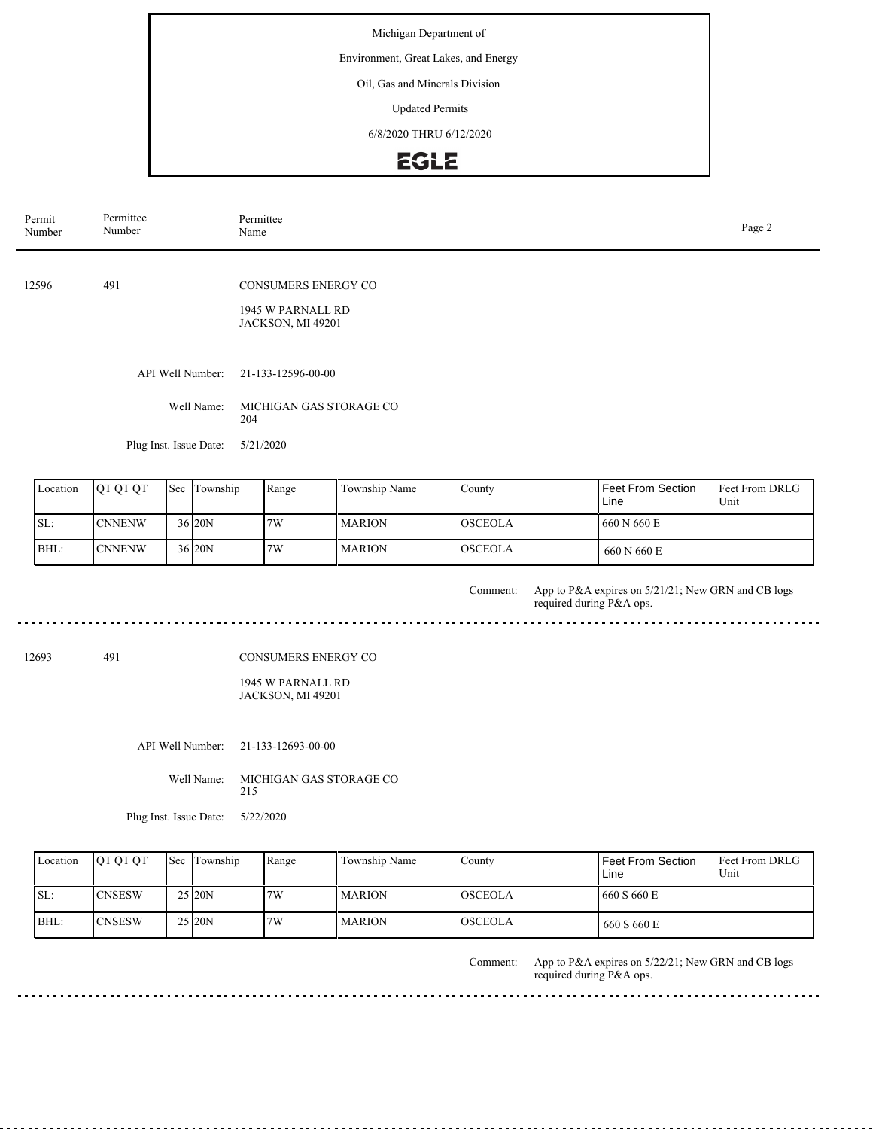Environment, Great Lakes, and Energy

Oil, Gas and Minerals Division

Updated Permits

6/8/2020 THRU 6/12/2020

## EGLE

| Permit<br>Number | Permittee<br>Number    |  |                      |     | Permittee<br>Name                               |                         |                |                           |                        |  |  |
|------------------|------------------------|--|----------------------|-----|-------------------------------------------------|-------------------------|----------------|---------------------------|------------------------|--|--|
| 491<br>12596     |                        |  |                      |     | <b>CONSUMERS ENERGY CO</b><br>1945 W PARNALL RD |                         |                |                           |                        |  |  |
|                  |                        |  | API Well Number:     |     | JACKSON, MI 49201<br>21-133-12596-00-00         |                         |                |                           |                        |  |  |
|                  |                        |  | Well Name:           | 204 |                                                 | MICHIGAN GAS STORAGE CO |                |                           |                        |  |  |
|                  | Plug Inst. Issue Date: |  |                      |     | 5/21/2020                                       |                         |                |                           |                        |  |  |
| Location         | QT QT QT               |  | Sec Township         |     | Range                                           | Township Name           | County         | Feet From Section<br>Line | Feet From DRLG<br>Unit |  |  |
| SL:              | <b>CNNENW</b>          |  | $36$ <sub>20</sub> N |     | 7W                                              | <b>MARION</b>           | <b>OSCEOLA</b> | 660 N 660 E               |                        |  |  |
| BHL:             | <b>CNNENW</b>          |  | 36 20N               |     | 7W                                              | <b>MARION</b>           | <b>OSCEOLA</b> | 660 N 660 E               |                        |  |  |

App to P&A expires on 5/21/21; New GRN and CB logs required during P&A ops. Comment:

 $\overline{a}$  .  $\overline{a}$ 

 $\overline{1}$ 

. .  $\sim$   $\sim$ 

12693 491

#### CONSUMERS ENERGY CO

#### 1945 W PARNALL RD JACKSON, MI 49201

API Well Number: 21-133-12693-00-00

Well Name: MICHIGAN GAS STORAGE CO 215

Plug Inst. Issue Date: 5/22/2020

| Location | <b>OT OT OT</b> | Sec Township         | Range | Township Name | County          | Feet From Section<br>Line | <b>Feet From DRLG</b><br>Unit |
|----------|-----------------|----------------------|-------|---------------|-----------------|---------------------------|-------------------------------|
| SL:      | ICNSESW         | 25 20N               | 7W    | <b>MARION</b> | <b>IOSCEOLA</b> | 1 660 S 660 E             |                               |
| $BHL$ :  | <b>CNSESW</b>   | $25$ <sub>20</sub> N | 7W    | <b>MARION</b> | <b>OSCEOLA</b>  | 660 S 660 E               |                               |

App to P&A expires on 5/22/21; New GRN and CB logs required during P&A ops. Comment: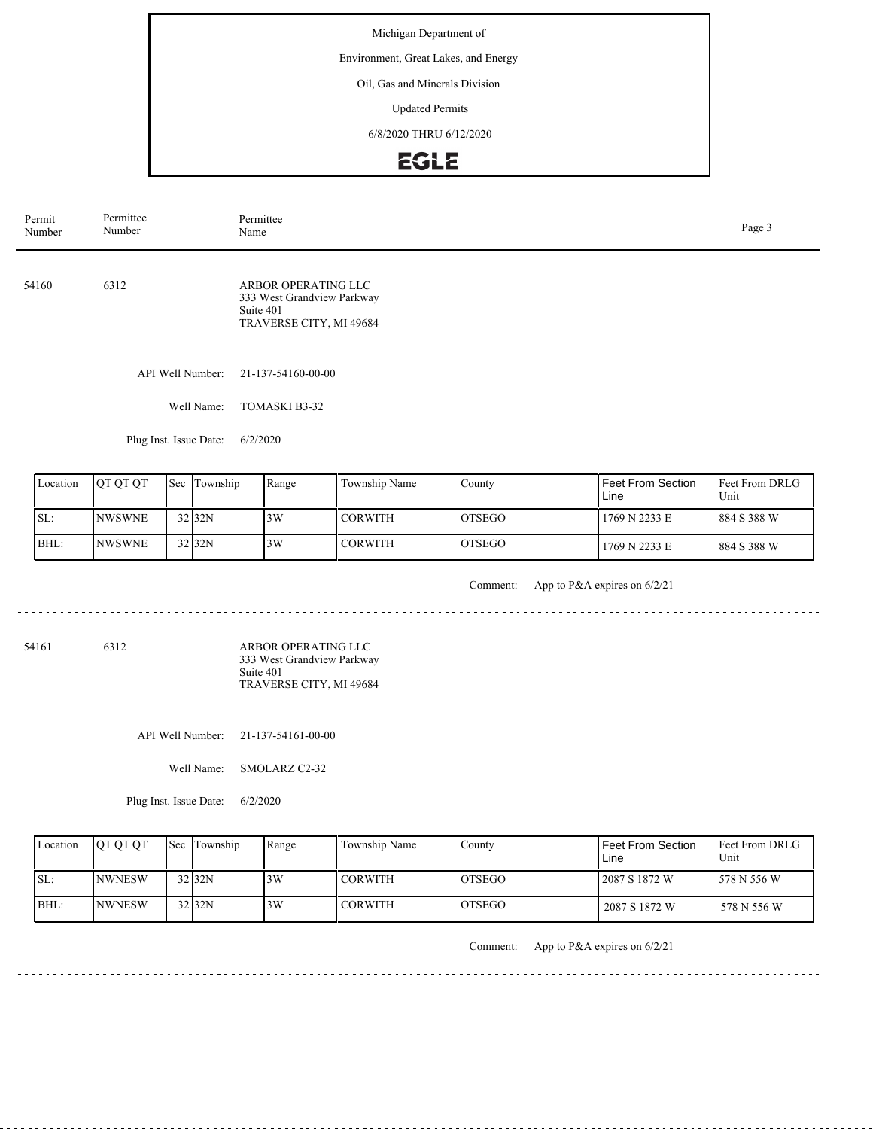Environment, Great Lakes, and Energy

Oil, Gas and Minerals Division

Updated Permits

6/8/2020 THRU 6/12/2020

### EGLE

| Permit<br>Number | Permittee<br>Number | Permittee<br>Name                                                                         | Page 3 |
|------------------|---------------------|-------------------------------------------------------------------------------------------|--------|
| 54160            | 6312                | ARBOR OPERATING LLC<br>333 West Grandview Parkway<br>Suite 401<br>TRAVERSE CITY, MI 49684 |        |
|                  |                     | API Well Number: 21-137-54160-00-00                                                       |        |

Well Name: TOMASKI B3-32

Plug Inst. Issue Date: 6/2/2020

| Location | <b>OT OT OT</b> | <b>Sec</b> Township  | Range | Township Name  | County         | Feet From Section<br>Line | <b>IFeet From DRLG</b><br>Unit |
|----------|-----------------|----------------------|-------|----------------|----------------|---------------------------|--------------------------------|
| SL:      | <b>INWSWNE</b>  | $32$ <sub>32</sub> N | 3W    | <b>CORWITH</b> | <b>IOTSEGO</b> | 1769 N 2233 E             | 884 S 388 W                    |
| BHL:     | <b>INWSWNE</b>  | $32$ <sub>32</sub> N | 3W    | <b>CORWITH</b> | <b>IOTSEGO</b> | 1769 N 2233 E             | 884 S 388 W                    |

. . . . . . . . . . . . . .

Comment: App to P&A expires on 6/2/21

<u>. . . . . . . .</u>

 $\frac{1}{2}$ 

54161 6312

ARBOR OPERATING LLC 333 West Grandview Parkway Suite 401 TRAVERSE CITY, MI 49684

API Well Number: 21-137-54161-00-00

Well Name: SMOLARZ C2-32

Plug Inst. Issue Date: 6/2/2020

|      | Location | <b>OT OT OT</b> | <b>Sec Township</b> | Range | Township Name  | Countv         | l Feet From Section<br>Line | <b>Feet From DRLG</b><br>Unit |
|------|----------|-----------------|---------------------|-------|----------------|----------------|-----------------------------|-------------------------------|
| ISL: |          | <b>INWNESW</b>  | $32$ $32N$          | 3W    | <b>CORWITH</b> | IOTSEGO        | 2087 S 1872 W               | 1578 N 556 W                  |
|      | BHL:     | <b>INWNESW</b>  | 32 32N              | 3W    | <b>CORWITH</b> | <b>IOTSEGO</b> | 2087 S 1872 W               | 578 N 556 W                   |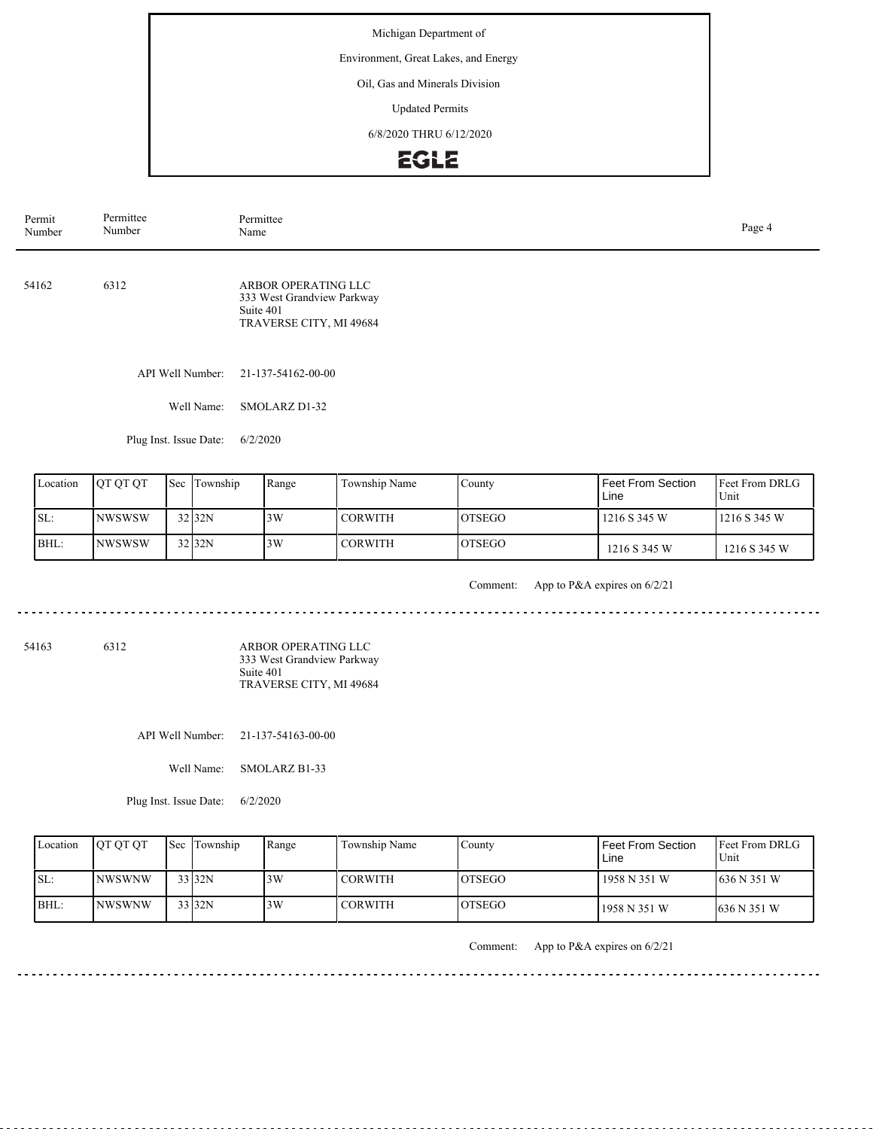Environment, Great Lakes, and Energy

Oil, Gas and Minerals Division

Updated Permits

6/8/2020 THRU 6/12/2020

# **EGLE**

| Permit<br>Number | Permittee<br>Number | Permittee<br>Name                                                                         | Page 4 |
|------------------|---------------------|-------------------------------------------------------------------------------------------|--------|
| 54162            | 6312                | ARBOR OPERATING LLC<br>333 West Grandview Parkway<br>Suite 401<br>TRAVERSE CITY, MI 49684 |        |
|                  |                     | API Well Number: 21-137-54162-00-00                                                       |        |

Well Name: SMOLARZ D1-32

Plug Inst. Issue Date: 6/2/2020

| Location | <b>OT OT OT</b> | Sec Township         | Range | Township Name  | County         | Feet From Section<br>Line | <b>IFeet From DRLG</b><br>Unit |
|----------|-----------------|----------------------|-------|----------------|----------------|---------------------------|--------------------------------|
| SL:      | <b>INWSWSW</b>  | $32$ <sub>32</sub> N | 13W   | <b>CORWITH</b> | <b>IOTSEGO</b> | 1216 S 345 W              | 1216S345W                      |
| BHL:     | <b>INWSWSW</b>  | $32$ <sub>32</sub> N | 3W    | <b>CORWITH</b> | <b>IOTSEGO</b> | 1216 S 345 W              | 1216 S 345 W                   |

. . . . . . . . . . . . . .

Comment: App to P&A expires on 6/2/21

<u>. . . . . . . .</u>

 $- - - -$ 

54163 6312

ARBOR OPERATING LLC 333 West Grandview Parkway Suite 401 TRAVERSE CITY, MI 49684

API Well Number: 21-137-54163-00-00

Well Name: SMOLARZ B1-33

Plug Inst. Issue Date: 6/2/2020

| Location | <b>IOT OT OT</b> | <b>Sec Township</b> | Range | Township Name  | County         | Feet From Section<br>Line | <b>Feet From DRLG</b><br>Unit |
|----------|------------------|---------------------|-------|----------------|----------------|---------------------------|-------------------------------|
| ISL:     | <b>INWSWNW</b>   | 33 32N              | 3W    | <b>CORWITH</b> | <b>IOTSEGO</b> | 1958 N 351 W              | 1636 N 351 W                  |
| BHL:     | <b>INWSWNW</b>   | 33 32N              | 3W    | <b>CORWITH</b> | <b>IOTSEGO</b> | 1958 N 351 W              | 1636 N 351 W                  |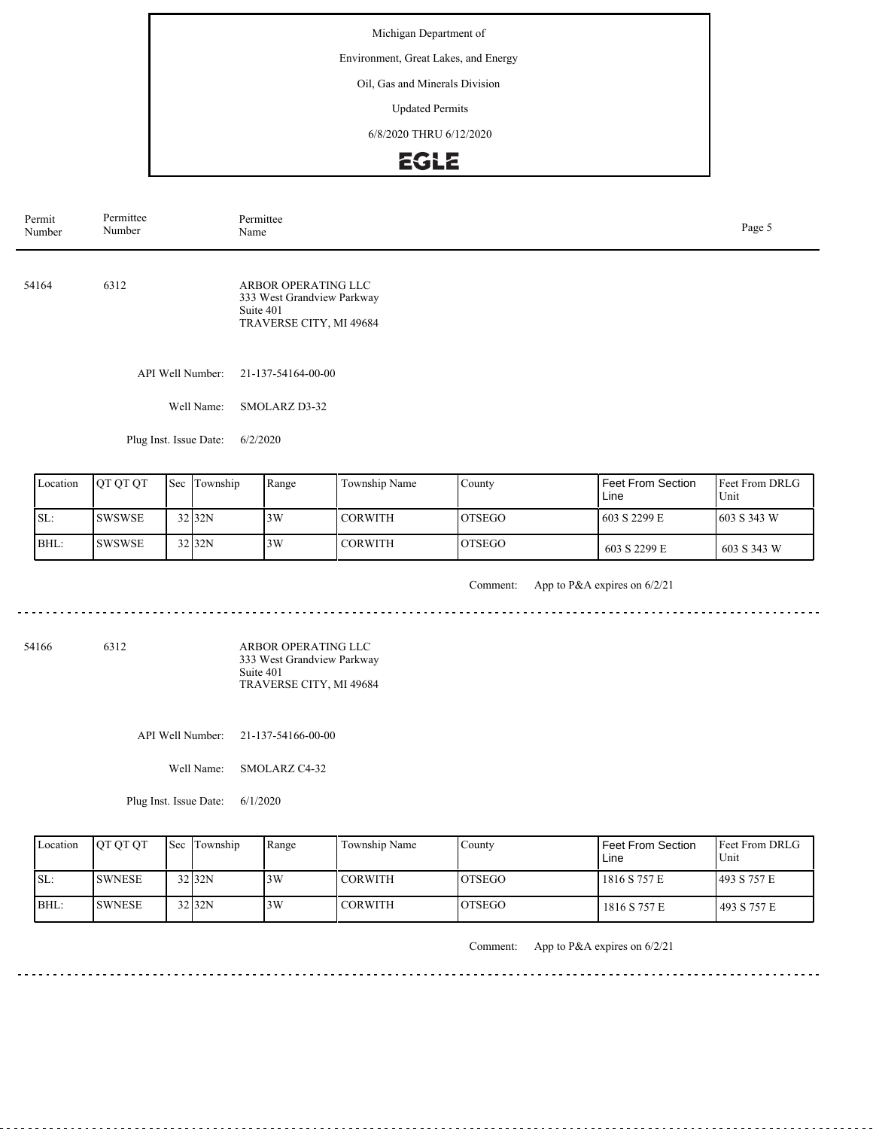Environment, Great Lakes, and Energy

Oil, Gas and Minerals Division

Updated Permits

6/8/2020 THRU 6/12/2020

# EGLE

| Permit<br>Number | Permittee<br>Number | Permittee<br>Page 5<br>Name                                                               |  |  |  |  |
|------------------|---------------------|-------------------------------------------------------------------------------------------|--|--|--|--|
| 54164            | 6312                | ARBOR OPERATING LLC<br>333 West Grandview Parkway<br>Suite 401<br>TRAVERSE CITY, MI 49684 |  |  |  |  |
|                  | API Well Number:    | 21-137-54164-00-00                                                                        |  |  |  |  |
|                  | Well Name:          | SMOLARZ D3-32                                                                             |  |  |  |  |

Plug Inst. Issue Date: 6/2/2020

| Location | <b>IOT OT OT</b> | Sec Township | Range | Township Name  | County         | <b>Feet From Section</b><br>Line | Feet From DRLG<br>Unit |
|----------|------------------|--------------|-------|----------------|----------------|----------------------------------|------------------------|
| SL:      | ISWSWSE          | $32$ 32N     | 3W    | <b>CORWITH</b> | <b>IOTSEGO</b> | 603 S 2299 E                     | 1603 S 343 W           |
| IBHL:    | <b>SWSWSE</b>    | $32$ 32N     | 13W   | <b>CORWITH</b> | <b>IOTSEGO</b> | 603 S 2299 E                     | 603 S 343 W            |

<u>. . . . . . . . . . . .</u>

Comment: App to P&A expires on 6/2/21

<u>. . . . . . . .</u>

 $- - - -$ 

54166 6312

ARBOR OPERATING LLC 333 West Grandview Parkway Suite 401 TRAVERSE CITY, MI 49684

API Well Number: 21-137-54166-00-00

Well Name: SMOLARZ C4-32

Plug Inst. Issue Date: 6/1/2020

| Location | <b>OT OT OT</b> | <b>Sec Township</b> | Range | Township Name  | Countv  | l Feet From Section<br>Line | <b>Feet From DRLG</b><br>Unit |
|----------|-----------------|---------------------|-------|----------------|---------|-----------------------------|-------------------------------|
| ISL:     | <b>SWNESE</b>   | $32$ $32N$          | 3W    | <b>CORWITH</b> | IOTSEGO | 1816 S 757 E                | 1493 S 757 E                  |
| BHL:     | <b>ISWNESE</b>  | 32 <sub>32N</sub>   | 3W    | <b>CORWITH</b> | IOTSEGO | 1816 S 757 E                | 493 S 757 E                   |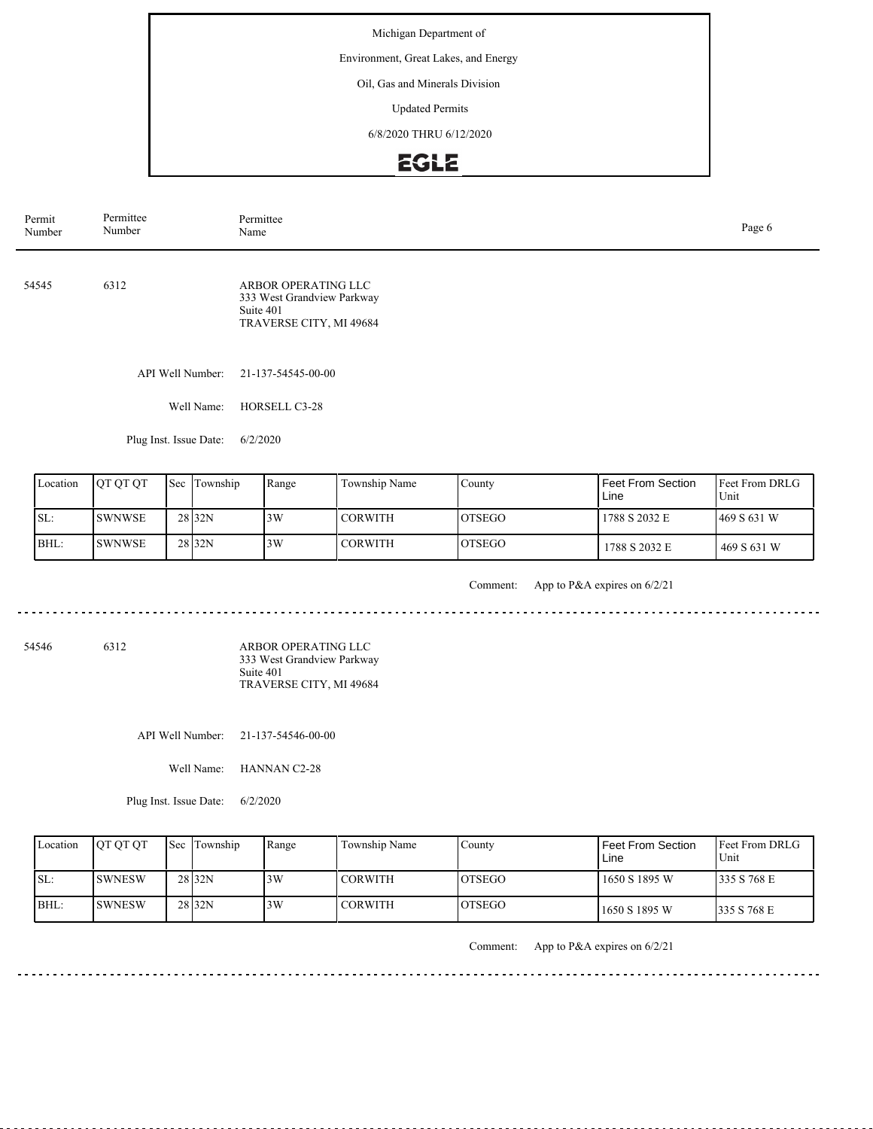Environment, Great Lakes, and Energy

Oil, Gas and Minerals Division

Updated Permits

6/8/2020 THRU 6/12/2020

# EGLE

| Permit<br>Number | Permittee<br>Number | Permittee<br>Page 6<br>Name                                                               |  |  |  |  |
|------------------|---------------------|-------------------------------------------------------------------------------------------|--|--|--|--|
| 54545            | 6312                | ARBOR OPERATING LLC<br>333 West Grandview Parkway<br>Suite 401<br>TRAVERSE CITY, MI 49684 |  |  |  |  |
|                  | API Well Number:    | 21-137-54545-00-00                                                                        |  |  |  |  |
|                  | Well Name:          | HORSELL C3-28                                                                             |  |  |  |  |

Plug Inst. Issue Date: 6/2/2020

| Location | <b>OT OT OT</b> | Sec Township      | Range | Township Name  | County         | <b>Feet From Section</b><br>Line | <b>IFeet From DRLG</b><br>Unit |
|----------|-----------------|-------------------|-------|----------------|----------------|----------------------------------|--------------------------------|
| SL:      | <b>ISWNWSE</b>  | 28 <sub>32N</sub> | 3W    | <b>CORWITH</b> | <b>IOTSEGO</b> | 1788 S 2032 E                    | 1469 S 631 W                   |
| BHL:     | <b>ISWNWSE</b>  | 28 <sub>32N</sub> | 3W    | <b>CORWITH</b> | <b>LOTSEGO</b> | 1788 S 2032 E                    | 469 S 631 W                    |

. . . . . . . . . . . . . .

Comment: App to P&A expires on 6/2/21

<u>. . . . . . . .</u>

54546 6312

ARBOR OPERATING LLC 333 West Grandview Parkway Suite 401 TRAVERSE CITY, MI 49684

API Well Number: 21-137-54546-00-00

Well Name: HANNAN C2-28

Plug Inst. Issue Date: 6/2/2020

|      | Location | <b>OT OT OT</b> | <b>Sec Township</b> | Range | Township Name  | Countv         | l Feet From Section<br>Line | <b>IFeet From DRLG</b><br>Unit |
|------|----------|-----------------|---------------------|-------|----------------|----------------|-----------------------------|--------------------------------|
| ISL: |          | ISWNESW         | 28 <sub>32N</sub>   | 3W    | <b>CORWITH</b> | IOTSEGO        | l 1650 S 1895 W             | 335 S 768 E                    |
| BHL: |          | <b>ISWNESW</b>  | 28 <sub>32N</sub>   | 3W    | <b>CORWITH</b> | <b>IOTSEGO</b> | 1650 S 1895 W               | 1335 S 768 E                   |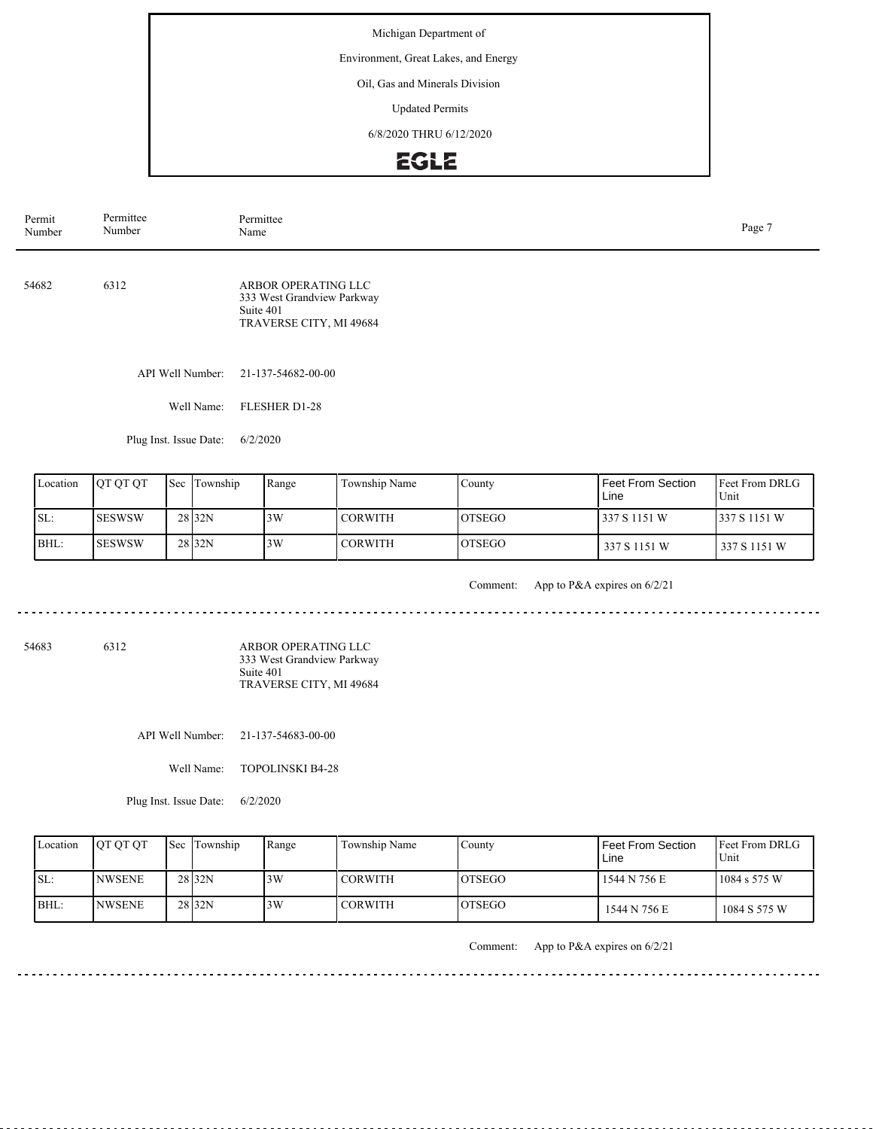Environment, Great Lakes, and Energy

Oil, Gas and Minerals Division

Updated Permits

6/8/2020 THRU 6/12/2020

## EGLE

| Permit<br>Number | Permittee<br>Number | Permittee<br>Name                                                                         | Page 7 |
|------------------|---------------------|-------------------------------------------------------------------------------------------|--------|
| 54682            | 6312                | ARBOR OPERATING LLC<br>333 West Grandview Parkway<br>Suite 401<br>TRAVERSE CITY, MI 49684 |        |
|                  | API Well Number:    | 21-137-54682-00-00                                                                        |        |
|                  | Well Name:          | <b>FLESHER D1-28</b>                                                                      |        |

Plug Inst. Issue Date: 6/2/2020

|      | Location | <b>OT OT OT</b> | Sec Township      | Range | Township Name  | County         | Feet From Section<br>Line | <b>Feet From DRLG</b><br>Unit |
|------|----------|-----------------|-------------------|-------|----------------|----------------|---------------------------|-------------------------------|
| SL:  |          | <b>ISESWSW</b>  | 28 <sub>32N</sub> | 3W    | <b>CORWITH</b> | <b>IOTSEGO</b> | 337 S 1151 W              | 337 S 1151 W                  |
| BHL: |          | <b>ISESWSW</b>  | 28 <sub>32N</sub> | 3W    | <b>CORWITH</b> | <b>IOTSEGO</b> | 337 S 1151 W              | 337 S 1151 W                  |

<u>. . . . . . . . . . . .</u>

Comment: App to P&A expires on 6/2/21

--------

 $- - - -$ 

54683 6312

ARBOR OPERATING LLC 333 West Grandview Parkway Suite 401 TRAVERSE CITY, MI 49684

API Well Number: 21-137-54683-00-00

Well Name: TOPOLINSKI B4-28

Plug Inst. Issue Date: 6/2/2020

| Location | <b>OT OT OT</b> | <b>Sec Township</b> | Range | Township Name  | County         | Feet From Section<br>Line | <b>Feet From DRLG</b><br>Unit |
|----------|-----------------|---------------------|-------|----------------|----------------|---------------------------|-------------------------------|
| ISL:     | INWSENE         | 28 <sub>32N</sub>   | 3W    | <b>CORWITH</b> | <b>IOTSEGO</b> | 1544 N 756 E              | 1084 s 575 W                  |
| BHL:     | <b>INWSENE</b>  | 28 <sub>32N</sub>   | 3W    | <b>CORWITH</b> | <b>IOTSEGO</b> | 1544 N 756 E              | 1084 S 575 W                  |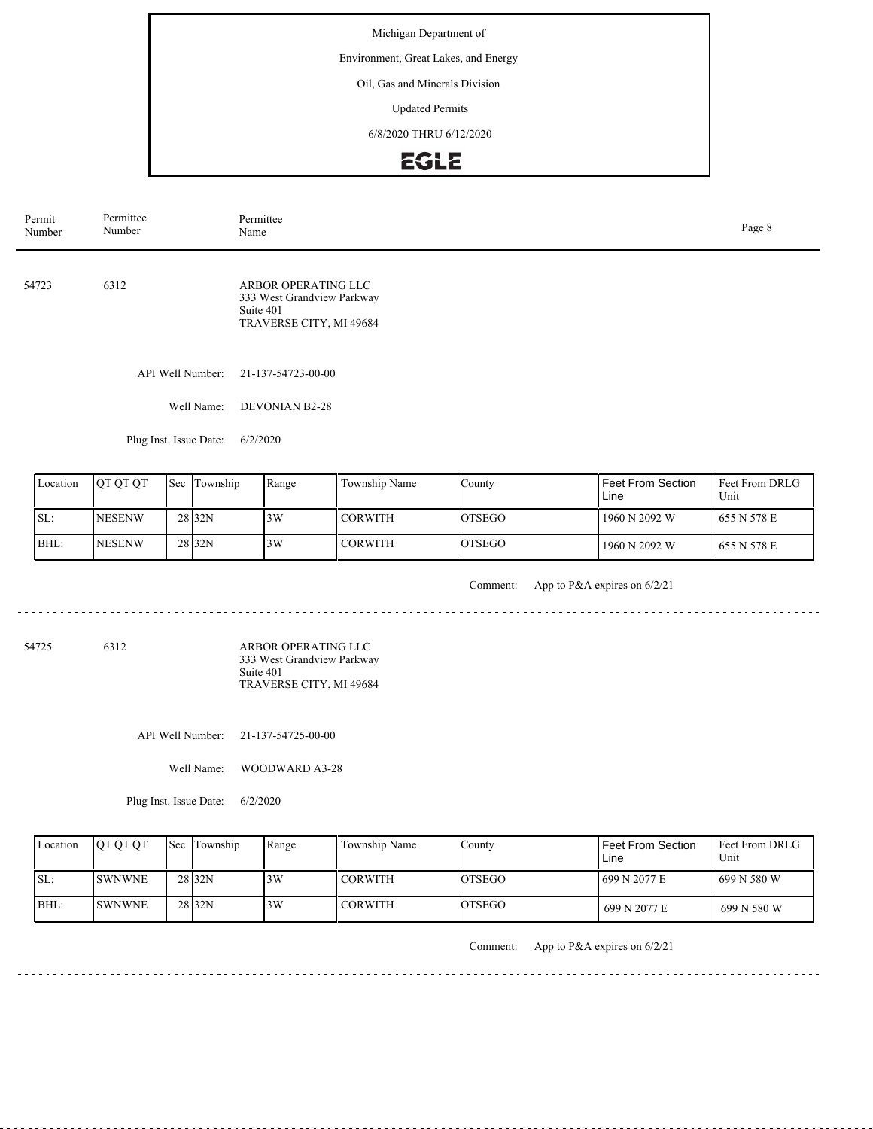Environment, Great Lakes, and Energy

Oil, Gas and Minerals Division

Updated Permits

6/8/2020 THRU 6/12/2020

### EGLE

| Permit<br>Number | Permittee<br>Number | Permittee<br>Name                                                                         | Page 8 |
|------------------|---------------------|-------------------------------------------------------------------------------------------|--------|
| 54723            | 6312                | ARBOR OPERATING LLC<br>333 West Grandview Parkway<br>Suite 401<br>TRAVERSE CITY, MI 49684 |        |
|                  | API Well Number:    | 21-137-54723-00-00                                                                        |        |
|                  | Well Name:          | <b>DEVONIAN B2-28</b>                                                                     |        |

Plug Inst. Issue Date: 6/2/2020

| Location | <b>IOT OT OT</b> | Sec Township      | Range | Township Name | County         | Feet From Section<br>Line | <b>IFeet From DRLG</b><br>Unit |
|----------|------------------|-------------------|-------|---------------|----------------|---------------------------|--------------------------------|
| SL:      | <b>NESENW</b>    | 28 <sub>32N</sub> | 3W    | I CORWITH     | <b>IOTSEGO</b> | 1960 N 2092 W             | 1655 N 578 E                   |
| IBHL:    | <b>NESENW</b>    | 28 <sub>32N</sub> | 3W    | CORWITH       | <b>IOTSEGO</b> | 1960 N 2092 W             | 1655 N 578 E                   |

. . . . . . . . . . . . . .

Comment: App to P&A expires on 6/2/21

--------

 $- - - -$ 

54725 6312

ARBOR OPERATING LLC 333 West Grandview Parkway Suite 401 TRAVERSE CITY, MI 49684

API Well Number: 21-137-54725-00-00

Well Name: WOODWARD A3-28

Plug Inst. Issue Date: 6/2/2020

| Location | <b>OT OT OT</b> | <b>Sec Township</b> | Range | Township Name  | Countv         | l Feet From Section<br>Line | <b>IFeet From DRLG</b><br>Unit |
|----------|-----------------|---------------------|-------|----------------|----------------|-----------------------------|--------------------------------|
| ISL:     | <b>ISWNWNE</b>  | 28 <sub>32N</sub>   | 3W    | <b>CORWITH</b> | IOTSEGO        | 1699 N 2077 E               | 1699 N 580 W                   |
| BHL:     | <b>ISWNWNE</b>  | 28 <sub>32N</sub>   | 3W    | <b>CORWITH</b> | <b>IOTSEGO</b> | 699 N 2077 E                | 699 N 580 W                    |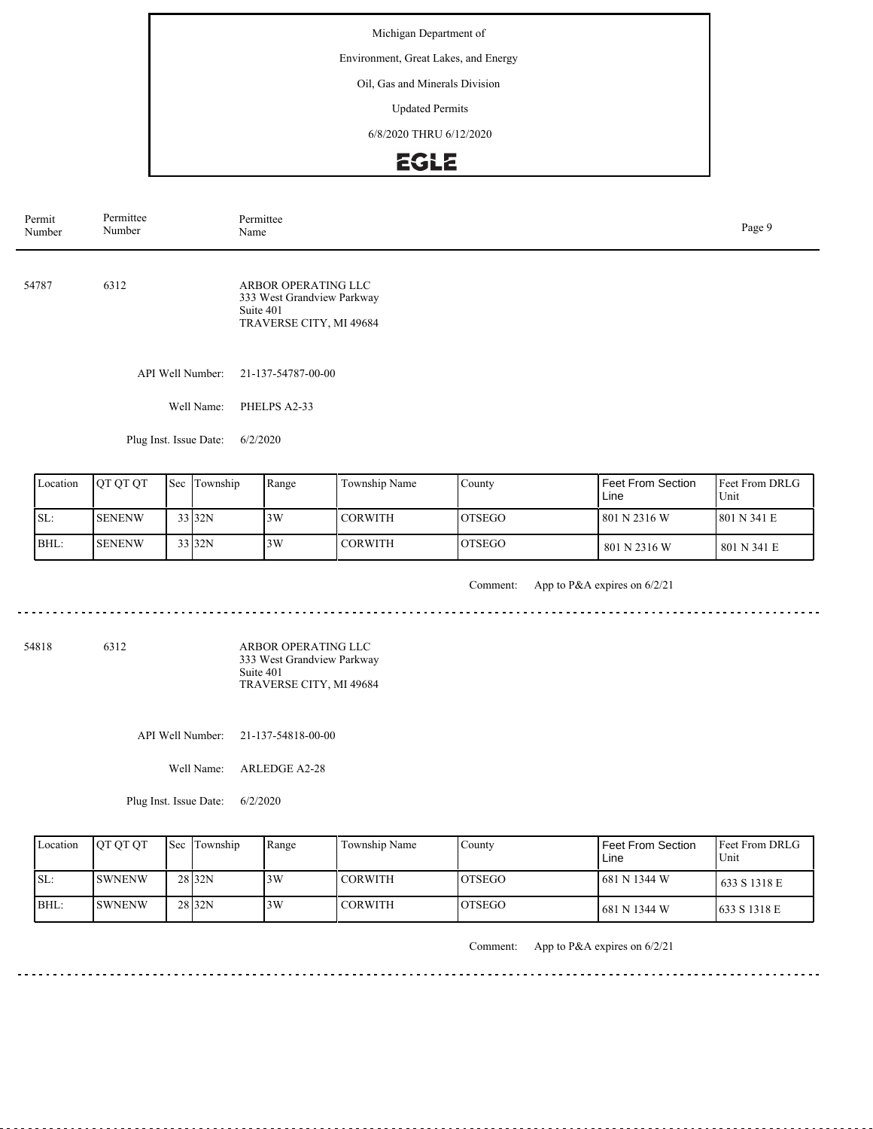Environment, Great Lakes, and Energy

Oil, Gas and Minerals Division

Updated Permits

6/8/2020 THRU 6/12/2020

# EGLE

| Permit<br>Number | Permittee<br>Number | Permittee<br>Page 9<br>Name                                                               |  |  |
|------------------|---------------------|-------------------------------------------------------------------------------------------|--|--|
| 54787            | 6312                | ARBOR OPERATING LLC<br>333 West Grandview Parkway<br>Suite 401<br>TRAVERSE CITY, MI 49684 |  |  |
|                  | API Well Number:    | 21-137-54787-00-00                                                                        |  |  |
|                  | Well Name:          | PHELPS A2-33                                                                              |  |  |

Plug Inst. Issue Date: 6/2/2020

| Location | <b>OT OT OT</b> | Sec Township | Range | Township Name  | County         | Feet From Section<br>Line | <b>IFeet From DRLG</b><br>Unit |
|----------|-----------------|--------------|-------|----------------|----------------|---------------------------|--------------------------------|
| SL:      | <b>ISENENW</b>  | 33 32N       | 3W    | <b>CORWITH</b> | <b>IOTSEGO</b> | 801 N 2316 W              | 1801 N 341 E                   |
| BHL:     | <b>ISENENW</b>  | 33 32N       | 3W    | <b>CORWITH</b> | <b>OTSEGO</b>  | 801 N 2316 W              | 1 801 N 341 E                  |

<u>. . . . . . . . . .</u>

Comment: App to P&A expires on 6/2/21

54818 6312

ARBOR OPERATING LLC 333 West Grandview Parkway Suite 401 TRAVERSE CITY, MI 49684

API Well Number: 21-137-54818-00-00

Well Name: ARLEDGE A2-28

Plug Inst. Issue Date: 6/2/2020

| Location | <b>OT OT OT</b> | <b>Sec Township</b> | Range | Township Name  | Countv         | l Feet From Section<br>Line | <b>Feet From DRLG</b><br>Unit |
|----------|-----------------|---------------------|-------|----------------|----------------|-----------------------------|-------------------------------|
| ISL:     | <b>ISWNENW</b>  | 28 <sub>32N</sub>   | 3W    | <b>CORWITH</b> | IOTSEGO        | 1681 N 1344 W               | 633 S 1318 E                  |
| BHL:     | <b>ISWNENW</b>  | 28 <sub>32N</sub>   | 3W    | <b>CORWITH</b> | <b>IOTSEGO</b> | 681 N 1344 W                | 633 S 1318 E                  |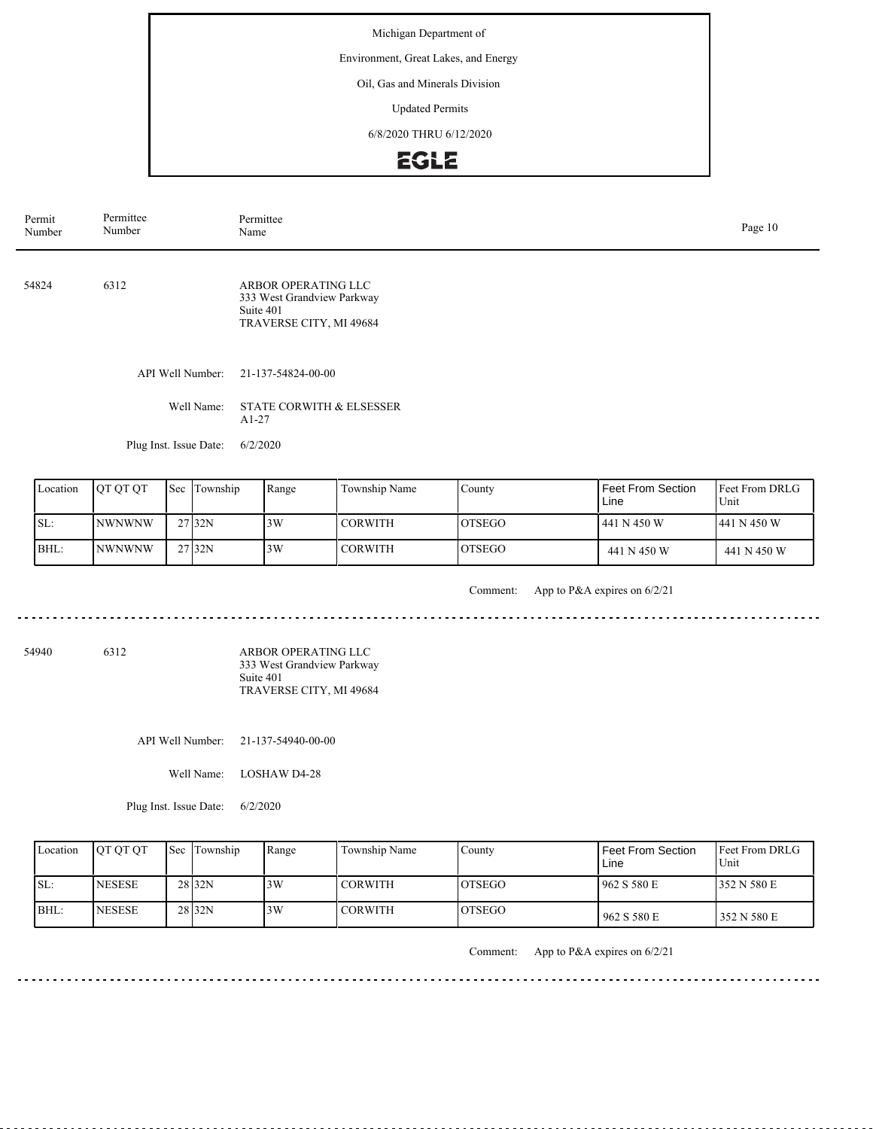Environment, Great Lakes, and Energy

Oil, Gas and Minerals Division

Updated Permits

6/8/2020 THRU 6/12/2020

# **EGLE**

| Permit<br>Number | Permittee<br>Number | Permittee<br>Name                                                                         |  |  |  |  |
|------------------|---------------------|-------------------------------------------------------------------------------------------|--|--|--|--|
| 54824            | 6312                | ARBOR OPERATING LLC<br>333 West Grandview Parkway<br>Suite 401<br>TRAVERSE CITY, MI 49684 |  |  |  |  |
|                  | API Well Number:    | 21-137-54824-00-00                                                                        |  |  |  |  |
|                  | Well Name:          | <b>STATE CORWITH &amp; ELSESSER</b><br>$A1-27$                                            |  |  |  |  |

Plug Inst. Issue Date: 6/2/2020

| Location | <b>IOT OT OT</b> | <b>Sec</b> | Township          | Range | Township Name  | County         | Feet From Section<br>Line | <b>IFeet From DRLG</b><br>Unit |
|----------|------------------|------------|-------------------|-------|----------------|----------------|---------------------------|--------------------------------|
| SL:      | <b>NWNWNW</b>    |            | 27132N            | 3W    | <b>CORWITH</b> | <b>IOTSEGO</b> | 441 N 450 W               | 441 N 450 W                    |
| BHL:     | INWNWNW          |            | 27 <sub>32N</sub> | 3W    | <b>CORWITH</b> | <b>IOTSEGO</b> | 441 N 450 W               | 441 N 450 W                    |

Comment: App to P&A expires on 6/2/21

<u>. . . . . . . .</u> 

54940 6312 ARBOR OPERATING LLC 333 West Grandview Parkway Suite 401 TRAVERSE CITY, MI 49684

API Well Number: 21-137-54940-00-00

Well Name: LOSHAW D4-28

Plug Inst. Issue Date: 6/2/2020

| Location | <b>OT OT OT</b> | <b>Sec Township</b> | Range | Township Name  | Countv         | Feet From Section<br>Line | <b>Feet From DRLG</b><br>Unit |
|----------|-----------------|---------------------|-------|----------------|----------------|---------------------------|-------------------------------|
| SL:      | <b>INESESE</b>  | 28 <sub>32N</sub>   | 3W    | <b>CORWITH</b> | <b>IOTSEGO</b> | 1962 S 580 E              | 352 N 580 E                   |
| IBHL:    | <b>INESESE</b>  | 28 <sub>32N</sub>   | 3W    | <b>CORWITH</b> | <b>LOTSEGO</b> | 962 S 580 E               | 352 N 580 E                   |

Comment: App to P&A expires on 6/2/21

<u>. . . . . . . . . . . . . . .</u>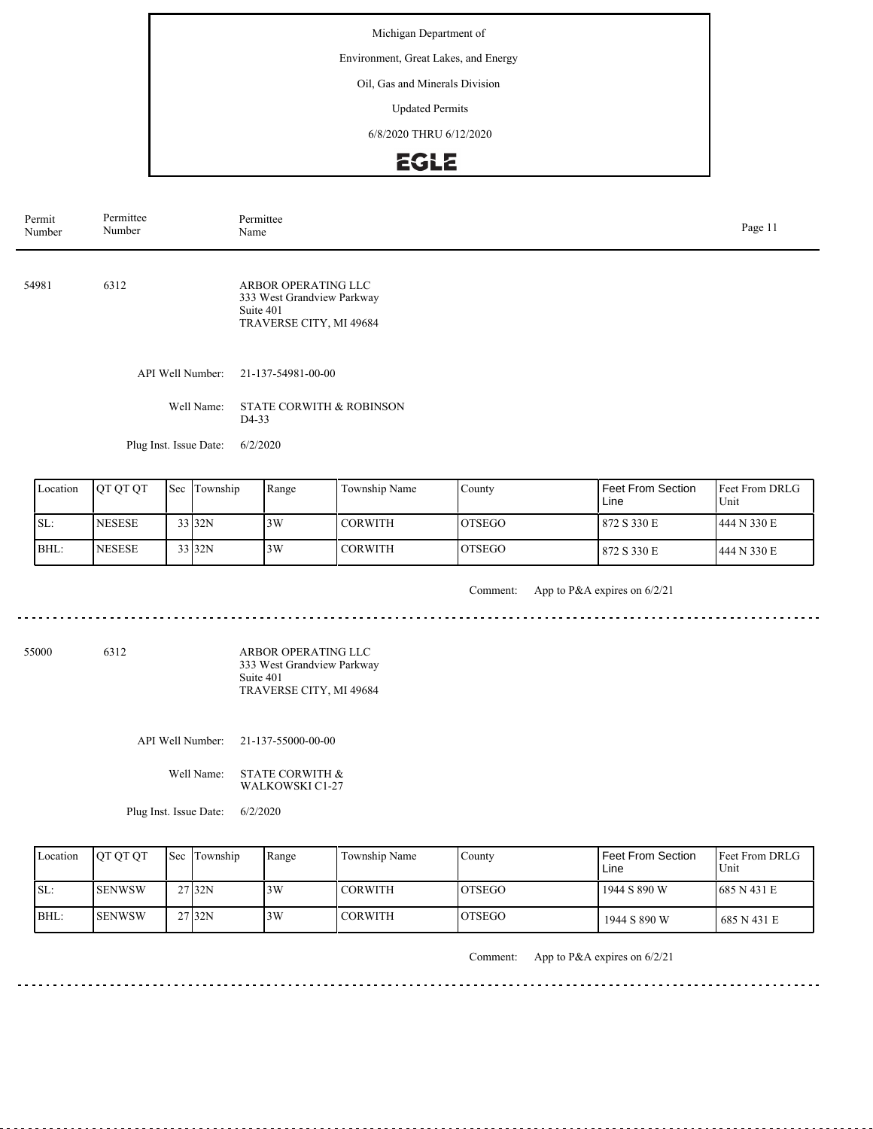Environment, Great Lakes, and Energy

Oil, Gas and Minerals Division

Updated Permits

6/8/2020 THRU 6/12/2020

# EGLE

| Permittee<br>Permit<br>Number<br>Number |                  | Permittee<br>Name                                                                         |  |  |  |  |
|-----------------------------------------|------------------|-------------------------------------------------------------------------------------------|--|--|--|--|
| 54981                                   | 6312             | ARBOR OPERATING LLC<br>333 West Grandview Parkway<br>Suite 401<br>TRAVERSE CITY, MI 49684 |  |  |  |  |
|                                         | API Well Number: | 21-137-54981-00-00                                                                        |  |  |  |  |
|                                         | Well Name:       | <b>STATE CORWITH &amp; ROBINSON</b><br>D <sub>4</sub> -33                                 |  |  |  |  |

Plug Inst. Issue Date: 6/2/2020

| Location | <b>OT OT OT</b> | Sec | Township | Range | Township Name | County         | Feet From Section<br>Line | Feet From DRLG<br>Unit |
|----------|-----------------|-----|----------|-------|---------------|----------------|---------------------------|------------------------|
| ISL:     | <b>NESESE</b>   |     | 33 32N   | 3W    | I CORWITH     | IOTSEGO        | 872 S 330 E               | 444 N 330 E            |
| BHL:     | <b>NESESE</b>   |     | 33 32N   | 3W    | I CORWITH     | <b>IOTSEGO</b> | 872 S 330 E               | 1444 N 330 E           |

Comment: App to P&A expires on 6/2/21

| 55000 | 6312 | ARBOR OPERATING LLC        |
|-------|------|----------------------------|
|       |      | 333 West Grandview Parkway |
|       |      | Suite 401                  |
|       |      | TRAVERSE CITY, MI 49684    |

API Well Number: 21-137-55000-00-00

Well Name: STATE CORWITH & WALKOWSKI C1-27

Plug Inst. Issue Date: 6/2/2020

| Location | <b>OT OT OT</b> | <b>Sec</b> Township | Range | Township Name  | Countv         | Feet From Section<br>Line | <b>IFeet From DRLG</b><br>Unit |
|----------|-----------------|---------------------|-------|----------------|----------------|---------------------------|--------------------------------|
| SL:      | ISENWSW         | 27 <sub>32N</sub>   | 3W    | <b>CORWITH</b> | <b>IOTSEGO</b> | 1944 S 890 W              | 1685 N 431 E                   |
| $BHL$ :  | <b>ISENWSW</b>  | 27 <sub>32N</sub>   | 3W    | <b>CORWITH</b> | <b>LOTSEGO</b> | 1944 S 890 W              | 1 685 N 431 E                  |

Comment: App to P&A expires on 6/2/21

<u>. . . . . . . . . . . . .</u>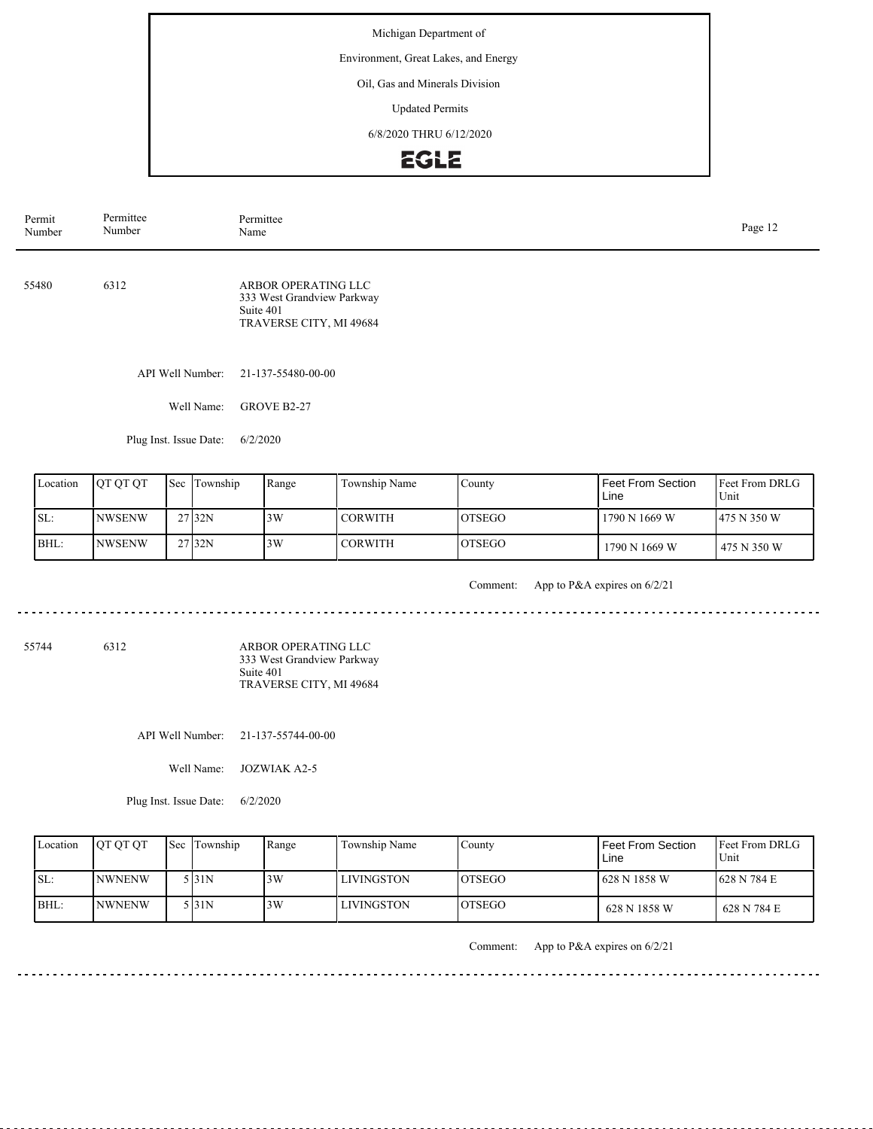Environment, Great Lakes, and Energy

Oil, Gas and Minerals Division

Updated Permits

6/8/2020 THRU 6/12/2020

# **EGLE**

| Permit<br>Number | Permittee<br>Number | Permittee<br>Name                                                                         |  |  |  |  |
|------------------|---------------------|-------------------------------------------------------------------------------------------|--|--|--|--|
| 55480            | 6312                | ARBOR OPERATING LLC<br>333 West Grandview Parkway<br>Suite 401<br>TRAVERSE CITY, MI 49684 |  |  |  |  |
|                  | API Well Number:    | 21-137-55480-00-00                                                                        |  |  |  |  |
|                  | Well Name:          | GROVE B2-27                                                                               |  |  |  |  |

Plug Inst. Issue Date: 6/2/2020

| Location | <b>OT OT OT</b> | Sec Township | Range | Township Name | County         | Feet From Section<br>Line | <b>IFeet From DRLG</b><br>Unit |
|----------|-----------------|--------------|-------|---------------|----------------|---------------------------|--------------------------------|
| SL:      | INWSENW         | 27 32N       | 3W    | I CORWITH     | <b>IOTSEGO</b> | 1790 N 1669 W             | 1475 N 350 W                   |
| BHL:     | <b>INWSENW</b>  | 27 32N       | 3W    | I CORWITH     | <b>IOTSEGO</b> | 1790 N 1669 W             | 475 N 350 W                    |

. . . . . . .

Comment: App to P&A expires on 6/2/21

55744 6312

ARBOR OPERATING LLC 333 West Grandview Parkway Suite 401 TRAVERSE CITY, MI 49684

API Well Number: 21-137-55744-00-00

Well Name: JOZWIAK A2-5

Plug Inst. Issue Date: 6/2/2020

| Location | <b>IOT OT OT</b> | <b>Sec Township</b> | Range | Township Name     | County         | Feet From Section<br>Line | <b>Feet From DRLG</b><br>Unit |
|----------|------------------|---------------------|-------|-------------------|----------------|---------------------------|-------------------------------|
| ISL:     | <b>INWNENW</b>   | 5 I31N              | 3W    | <b>LIVINGSTON</b> | <b>IOTSEGO</b> | 628 N 1858 W              | 1628 N 784 E                  |
| BHL:     | <b>INWNENW</b>   | 5 I31 N             | 3W    | <b>LIVINGSTON</b> | <b>IOTSEGO</b> | 628 N 1858 W              | 628 N 784 E                   |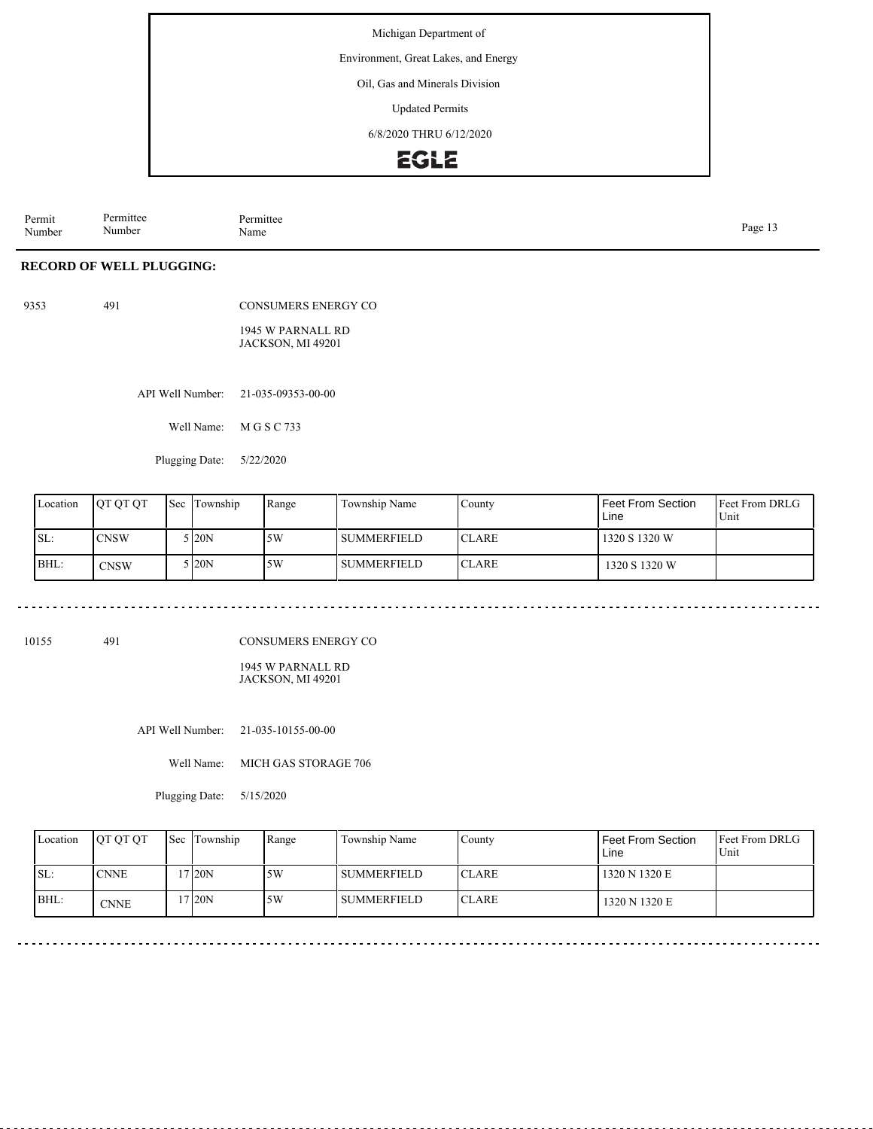Environment, Great Lakes, and Energy

Oil, Gas and Minerals Division

Updated Permits

6/8/2020 THRU 6/12/2020

# **EGLE**

Permit Number Permittee Number Permittee<br>Name Page 13<br>Name Page 13

#### **RECORD OF WELL PLUGGING:**

9353 491

CONSUMERS ENERGY CO

1945 W PARNALL RD JACKSON, MI 49201

API Well Number: 21-035-09353-00-00

Well Name: M G S C 733

Plugging Date: 5/22/2020

| Location | <b>JOT OT OT</b> | <b>Sec</b> Township | Range | Township Name  | County        | Feet From Section<br>Line | Feet From DRLG<br>Unit |
|----------|------------------|---------------------|-------|----------------|---------------|---------------------------|------------------------|
| ISL:     | <b>CNSW</b>      | 5 I20N              | 5W    | l summerfield. | <b>ICLARE</b> | 1320 S 1320 W             |                        |
| BHL:     | <b>CNSW</b>      | 5 I20N              | 5W    | I SUMMERFIELD  | <b>ICLARE</b> | 1320 S 1320 W             |                        |

10155 491

CONSUMERS ENERGY CO

1945 W PARNALL RD JACKSON, MI 49201

API Well Number: 21-035-10155-00-00

Well Name: MICH GAS STORAGE 706

Plugging Date: 5/15/2020

|      | Location | <b>OT OT OT</b> | Sec Township | Range | Township Name  | County        | Feet From Section<br>Line | <b>IFeet From DRLG</b><br>Unit |
|------|----------|-----------------|--------------|-------|----------------|---------------|---------------------------|--------------------------------|
| ISL: |          | <b>CNNE</b>     | 120N         | .5W   | l summerfield- | ICLARE        | 1320 N 1320 E             |                                |
| BHL: |          | <b>CNNE</b>     | 7120N        | 5W    | l summerfield- | <b>ICLARE</b> | 1320 N 1320 E             |                                |